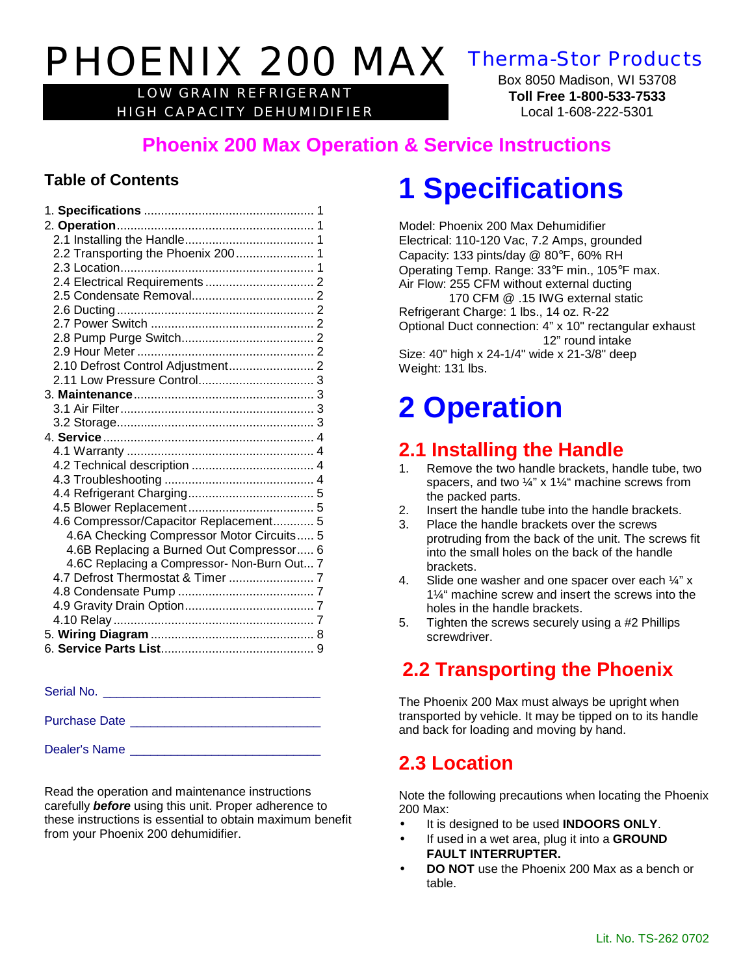# PHOENIX 200 MAX Therma-Stor Products

LOW GRAIN REFRIGERANT HIGH CAPACITY DEHUMIDIFIER

Box 8050 Madison, WI 53708 **Toll Free 1-800-533-7533** Local 1-608-222-5301

### **Phoenix 200 Max Operation & Service Instructions**

#### **Table of Contents**

| 2.2 Transporting the Phoenix 200 1          |  |
|---------------------------------------------|--|
|                                             |  |
|                                             |  |
|                                             |  |
|                                             |  |
|                                             |  |
|                                             |  |
|                                             |  |
|                                             |  |
|                                             |  |
|                                             |  |
|                                             |  |
|                                             |  |
|                                             |  |
|                                             |  |
|                                             |  |
|                                             |  |
|                                             |  |
|                                             |  |
| 4.6 Compressor/Capacitor Replacement 5      |  |
| 4.6A Checking Compressor Motor Circuits 5   |  |
| 4.6B Replacing a Burned Out Compressor 6    |  |
| 4.6C Replacing a Compressor- Non-Burn Out 7 |  |
|                                             |  |
|                                             |  |
|                                             |  |
|                                             |  |
|                                             |  |
|                                             |  |
|                                             |  |

Serial No.

Purchase Date \_\_\_\_\_\_\_\_\_\_\_\_\_\_\_\_\_\_\_\_\_\_\_\_\_\_\_\_

Dealer's Name

Read the operation and maintenance instructions carefully *before* using this unit. Proper adherence to these instructions is essential to obtain maximum benefit from your Phoenix 200 dehumidifier.

## **1 Specifications**

Model: Phoenix 200 Max Dehumidifier Electrical: 110-120 Vac, 7.2 Amps, grounded Capacity: 133 pints/day @ 80°F, 60% RH Operating Temp. Range: 33°F min., 105°F max. Air Flow: 255 CFM without external ducting

170 CFM @ .15 IWG external static Refrigerant Charge: 1 lbs., 14 oz. R-22 Optional Duct connection: 4" x 10" rectangular exhaust 12" round intake Size: 40" high x 24-1/4" wide x 21-3/8" deep Weight: 131 lbs.

## **2 Operation**

### **2.1 Installing the Handle**

- Remove the two handle brackets, handle tube, two spacers, and two ¼" x 1¼" machine screws from the packed parts.
- 2. Insert the handle tube into the handle brackets.
- 3. Place the handle brackets over the screws protruding from the back of the unit. The screws fit into the small holes on the back of the handle brackets.
- 4. Slide one washer and one spacer over each ¼" x 1¼" machine screw and insert the screws into the holes in the handle brackets.
- 5. Tighten the screws securely using a #2 Phillips screwdriver.

### **2.2 Transporting the Phoenix**

The Phoenix 200 Max must always be upright when transported by vehicle. It may be tipped on to its handle and back for loading and moving by hand.

### **2.3 Location**

Note the following precautions when locating the Phoenix 200 Max:

- It is designed to be used **INDOORS ONLY**.
- If used in a wet area, plug it into a **GROUND FAULT INTERRUPTER.**
- **DO NOT** use the Phoenix 200 Max as a bench or table.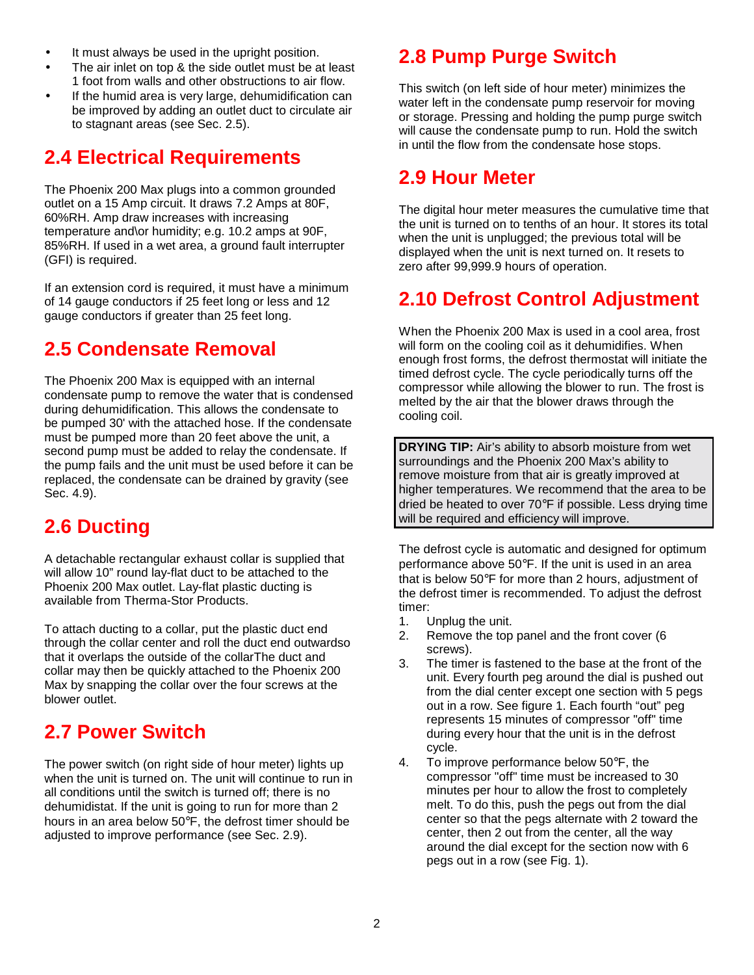- It must always be used in the upright position.
- The air inlet on top & the side outlet must be at least 1 foot from walls and other obstructions to air flow.
- If the humid area is very large, dehumidification can be improved by adding an outlet duct to circulate air to stagnant areas (see Sec. 2.5).

### **2.4 Electrical Requirements**

The Phoenix 200 Max plugs into a common grounded outlet on a 15 Amp circuit. It draws 7.2 Amps at 80F, 60%RH. Amp draw increases with increasing temperature and\or humidity; e.g. 10.2 amps at 90F, 85%RH. If used in a wet area, a ground fault interrupter (GFI) is required.

If an extension cord is required, it must have a minimum of 14 gauge conductors if 25 feet long or less and 12 gauge conductors if greater than 25 feet long.

### **2.5 Condensate Removal**

The Phoenix 200 Max is equipped with an internal condensate pump to remove the water that is condensed during dehumidification. This allows the condensate to be pumped 30' with the attached hose. If the condensate must be pumped more than 20 feet above the unit, a second pump must be added to relay the condensate. If the pump fails and the unit must be used before it can be replaced, the condensate can be drained by gravity (see Sec. 4.9).

### **2.6 Ducting**

A detachable rectangular exhaust collar is supplied that will allow 10" round lay-flat duct to be attached to the Phoenix 200 Max outlet. Lay-flat plastic ducting is available from Therma-Stor Products.

To attach ducting to a collar, put the plastic duct end through the collar center and roll the duct end outwardso that it overlaps the outside of the collarThe duct and collar may then be quickly attached to the Phoenix 200 Max by snapping the collar over the four screws at the blower outlet.

### **2.7 Power Switch**

The power switch (on right side of hour meter) lights up when the unit is turned on. The unit will continue to run in all conditions until the switch is turned off; there is no dehumidistat. If the unit is going to run for more than 2 hours in an area below 50°F, the defrost timer should be adjusted to improve performance (see Sec. 2.9).

### **2.8 Pump Purge Switch**

This switch (on left side of hour meter) minimizes the water left in the condensate pump reservoir for moving or storage. Pressing and holding the pump purge switch will cause the condensate pump to run. Hold the switch in until the flow from the condensate hose stops.

### **2.9 Hour Meter**

The digital hour meter measures the cumulative time that the unit is turned on to tenths of an hour. It stores its total when the unit is unplugged; the previous total will be displayed when the unit is next turned on. It resets to zero after 99,999.9 hours of operation.

### **2.10 Defrost Control Adjustment**

When the Phoenix 200 Max is used in a cool area, frost will form on the cooling coil as it dehumidifies. When enough frost forms, the defrost thermostat will initiate the timed defrost cycle. The cycle periodically turns off the compressor while allowing the blower to run. The frost is melted by the air that the blower draws through the cooling coil.

**DRYING TIP:** Air's ability to absorb moisture from wet surroundings and the Phoenix 200 Max's ability to remove moisture from that air is greatly improved at higher temperatures. We recommend that the area to be dried be heated to over 70°F if possible. Less drying time will be required and efficiency will improve.

The defrost cycle is automatic and designed for optimum performance above 50°F. If the unit is used in an area that is below 50°F for more than 2 hours, adjustment of the defrost timer is recommended. To adjust the defrost timer:

- 1. Unplug the unit.
- 2. Remove the top panel and the front cover (6 screws).
- 3. The timer is fastened to the base at the front of the unit. Every fourth peg around the dial is pushed out from the dial center except one section with 5 pegs out in a row. See figure 1. Each fourth "out" peg represents 15 minutes of compressor "off" time during every hour that the unit is in the defrost cycle.
- 4. To improve performance below 50°F, the compressor "off" time must be increased to 30 minutes per hour to allow the frost to completely melt. To do this, push the pegs out from the dial center so that the pegs alternate with 2 toward the center, then 2 out from the center, all the way around the dial except for the section now with 6 pegs out in a row (see Fig. 1).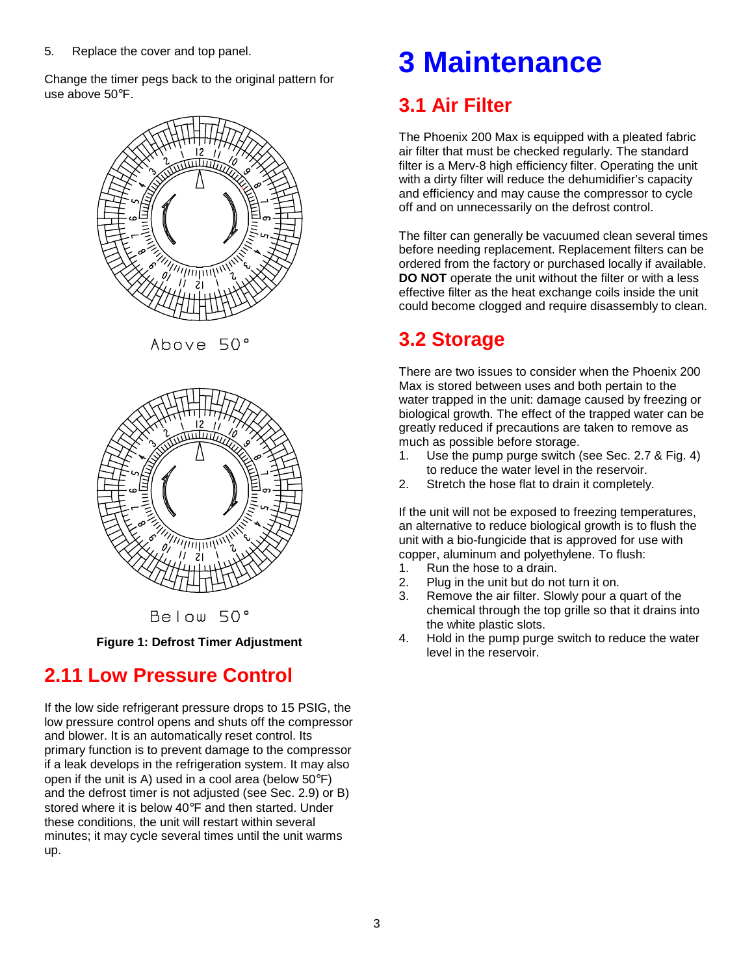5. Replace the cover and top panel.

Change the timer pegs back to the original pattern for use above 50°F.



Above 50°



Below 50°

**Figure 1: Defrost Timer Adjustment**

### **2.11 Low Pressure Control**

If the low side refrigerant pressure drops to 15 PSIG, the low pressure control opens and shuts off the compressor and blower. It is an automatically reset control. Its primary function is to prevent damage to the compressor if a leak develops in the refrigeration system. It may also open if the unit is A) used in a cool area (below 50°F) and the defrost timer is not adjusted (see Sec. 2.9) or B) stored where it is below 40°F and then started. Under these conditions, the unit will restart within several minutes; it may cycle several times until the unit warms up.

## **3 Maintenance**

### **3.1 Air Filter**

The Phoenix 200 Max is equipped with a pleated fabric air filter that must be checked regularly. The standard filter is a Merv-8 high efficiency filter. Operating the unit with a dirty filter will reduce the dehumidifier's capacity and efficiency and may cause the compressor to cycle off and on unnecessarily on the defrost control.

The filter can generally be vacuumed clean several times before needing replacement. Replacement filters can be ordered from the factory or purchased locally if available. **DO NOT** operate the unit without the filter or with a less effective filter as the heat exchange coils inside the unit could become clogged and require disassembly to clean.

### **3.2 Storage**

There are two issues to consider when the Phoenix 200 Max is stored between uses and both pertain to the water trapped in the unit: damage caused by freezing or biological growth. The effect of the trapped water can be greatly reduced if precautions are taken to remove as much as possible before storage.

- 1. Use the pump purge switch (see Sec. 2.7 & Fig. 4) to reduce the water level in the reservoir.
- 2. Stretch the hose flat to drain it completely.

If the unit will not be exposed to freezing temperatures, an alternative to reduce biological growth is to flush the unit with a bio-fungicide that is approved for use with copper, aluminum and polyethylene. To flush:

- 1. Run the hose to a drain.
- 2. Plug in the unit but do not turn it on.
- 3. Remove the air filter. Slowly pour a quart of the chemical through the top grille so that it drains into the white plastic slots.
- 4. Hold in the pump purge switch to reduce the water level in the reservoir.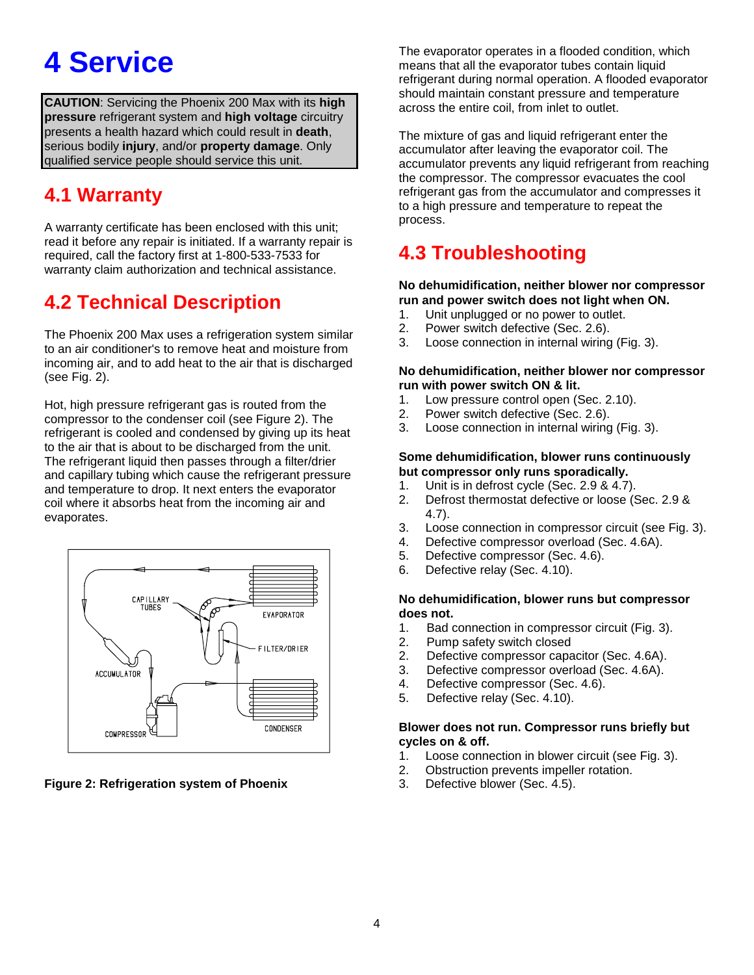## **4 Service**

**CAUTION**: Servicing the Phoenix 200 Max with its **high pressure** refrigerant system and **high voltage** circuitry presents a health hazard which could result in **death**, serious bodily **injury**, and/or **property damage**. Only qualified service people should service this unit.

### **4.1 Warranty**

A warranty certificate has been enclosed with this unit; read it before any repair is initiated. If a warranty repair is required, call the factory first at 1-800-533-7533 for warranty claim authorization and technical assistance.

### **4.2 Technical Description**

The Phoenix 200 Max uses a refrigeration system similar to an air conditioner's to remove heat and moisture from incoming air, and to add heat to the air that is discharged (see Fig. 2).

Hot, high pressure refrigerant gas is routed from the compressor to the condenser coil (see Figure 2). The refrigerant is cooled and condensed by giving up its heat to the air that is about to be discharged from the unit. The refrigerant liquid then passes through a filter/drier and capillary tubing which cause the refrigerant pressure and temperature to drop. It next enters the evaporator coil where it absorbs heat from the incoming air and evaporates.



**Figure 2: Refrigeration system of Phoenix**

The evaporator operates in a flooded condition, which means that all the evaporator tubes contain liquid refrigerant during normal operation. A flooded evaporator should maintain constant pressure and temperature across the entire coil, from inlet to outlet.

The mixture of gas and liquid refrigerant enter the accumulator after leaving the evaporator coil. The accumulator prevents any liquid refrigerant from reaching the compressor. The compressor evacuates the cool refrigerant gas from the accumulator and compresses it to a high pressure and temperature to repeat the process.

### **4.3 Troubleshooting**

#### **No dehumidification, neither blower nor compressor run and power switch does not light when ON.**

- 1. Unit unplugged or no power to outlet.
- 2. Power switch defective (Sec. 2.6).
- 3. Loose connection in internal wiring (Fig. 3).

#### **No dehumidification, neither blower nor compressor run with power switch ON & lit.**

- 1. Low pressure control open (Sec. 2.10).
- 2. Power switch defective (Sec. 2.6).
- 3. Loose connection in internal wiring (Fig. 3).

#### **Some dehumidification, blower runs continuously but compressor only runs sporadically.**

- 1. Unit is in defrost cycle (Sec. 2.9 & 4.7).
- 2. Defrost thermostat defective or loose (Sec. 2.9 & 4.7).
- 3. Loose connection in compressor circuit (see Fig. 3).
- 4. Defective compressor overload (Sec. 4.6A).
- 5. Defective compressor (Sec. 4.6).
- 6. Defective relay (Sec. 4.10).

#### **No dehumidification, blower runs but compressor does not.**

- 1. Bad connection in compressor circuit (Fig. 3).
- 2. Pump safety switch closed
- 2. Defective compressor capacitor (Sec. 4.6A).
- 3. Defective compressor overload (Sec. 4.6A).
- 4. Defective compressor (Sec. 4.6).
- 5. Defective relay (Sec. 4.10).

#### **Blower does not run. Compressor runs briefly but cycles on & off.**

- 1. Loose connection in blower circuit (see Fig. 3).
- 2. Obstruction prevents impeller rotation.
- 3. Defective blower (Sec. 4.5).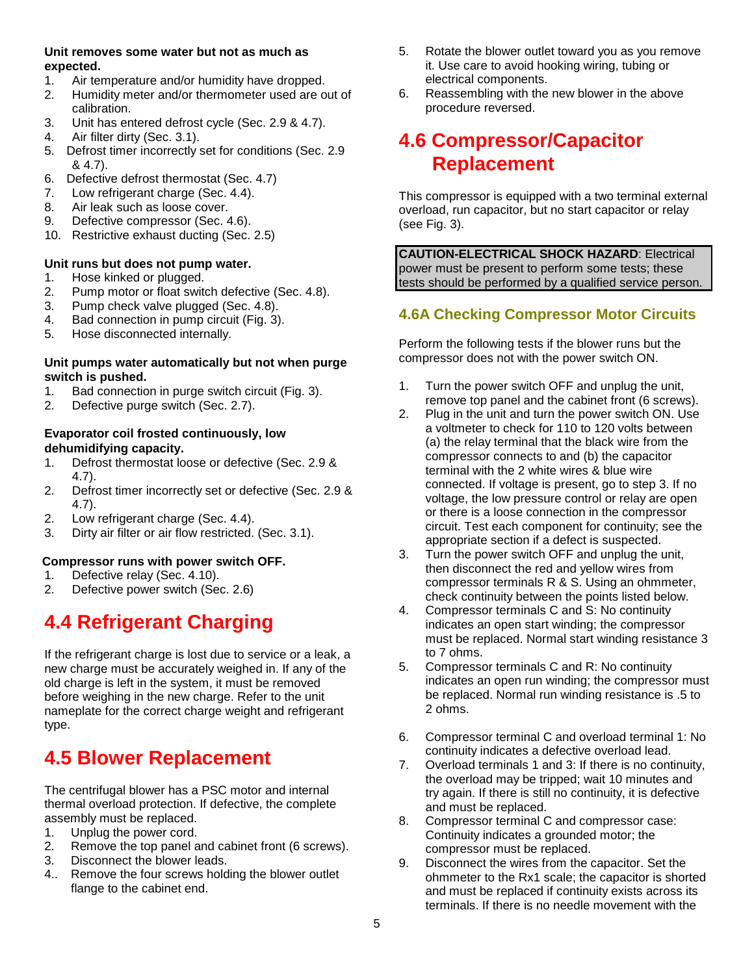#### **Unit removes some water but not as much as expected.**

- 1. Air temperature and/or humidity have dropped.
- 2. Humidity meter and/or thermometer used are out of calibration.
- 3. Unit has entered defrost cycle (Sec. 2.9 & 4.7).
- 4. Air filter dirty (Sec. 3.1).
- 5. Defrost timer incorrectly set for conditions (Sec. 2.9 & 4.7).
- 6. Defective defrost thermostat (Sec. 4.7)
- 7. Low refrigerant charge (Sec. 4.4).
- 8. Air leak such as loose cover.
- 9. Defective compressor (Sec. 4.6).
- 10. Restrictive exhaust ducting (Sec. 2.5)

#### **Unit runs but does not pump water.**

- 1. Hose kinked or plugged.
- 2. Pump motor or float switch defective (Sec. 4.8).
- 3. Pump check valve plugged (Sec. 4.8).
- 4. Bad connection in pump circuit (Fig. 3).
- 5. Hose disconnected internally.

#### **Unit pumps water automatically but not when purge switch is pushed.**

- 1. Bad connection in purge switch circuit (Fig. 3).
- 2. Defective purge switch (Sec. 2.7).

#### **Evaporator coil frosted continuously, low dehumidifying capacity.**

- 1. Defrost thermostat loose or defective (Sec. 2.9 & 4.7).
- 2. Defrost timer incorrectly set or defective (Sec. 2.9 & 4.7).
- 2. Low refrigerant charge (Sec. 4.4).
- 3. Dirty air filter or air flow restricted. (Sec. 3.1).

#### **Compressor runs with power switch OFF.**

- 1. Defective relay (Sec. 4.10).
- 2. Defective power switch (Sec. 2.6)

### **4.4 Refrigerant Charging**

If the refrigerant charge is lost due to service or a leak, a new charge must be accurately weighed in. If any of the old charge is left in the system, it must be removed before weighing in the new charge. Refer to the unit nameplate for the correct charge weight and refrigerant type.

### **4.5 Blower Replacement**

The centrifugal blower has a PSC motor and internal thermal overload protection. If defective, the complete assembly must be replaced.

- 1. Unplug the power cord.
- 2. Remove the top panel and cabinet front (6 screws).
- 3. Disconnect the blower leads.
- 4.. Remove the four screws holding the blower outlet flange to the cabinet end.
- 5. Rotate the blower outlet toward you as you remove it. Use care to avoid hooking wiring, tubing or electrical components.
- 6. Reassembling with the new blower in the above procedure reversed.

### **4.6 Compressor/Capacitor Replacement**

This compressor is equipped with a two terminal external overload, run capacitor, but no start capacitor or relay (see Fig. 3).

**CAUTION-ELECTRICAL SHOCK HAZARD**: Electrical power must be present to perform some tests; these tests should be performed by a qualified service person.

#### **4.6A Checking Compressor Motor Circuits**

Perform the following tests if the blower runs but the compressor does not with the power switch ON.

- 1. Turn the power switch OFF and unplug the unit, remove top panel and the cabinet front (6 screws).
- 2. Plug in the unit and turn the power switch ON. Use a voltmeter to check for 110 to 120 volts between (a) the relay terminal that the black wire from the compressor connects to and (b) the capacitor terminal with the 2 white wires & blue wire connected. If voltage is present, go to step 3. If no voltage, the low pressure control or relay are open or there is a loose connection in the compressor circuit. Test each component for continuity; see the appropriate section if a defect is suspected.
- 3. Turn the power switch OFF and unplug the unit, then disconnect the red and yellow wires from compressor terminals R & S. Using an ohmmeter, check continuity between the points listed below.
- 4. Compressor terminals C and S: No continuity indicates an open start winding; the compressor must be replaced. Normal start winding resistance 3 to 7 ohms.
- 5. Compressor terminals C and R: No continuity indicates an open run winding; the compressor must be replaced. Normal run winding resistance is .5 to 2 ohms.
- 6. Compressor terminal C and overload terminal 1: No continuity indicates a defective overload lead.
- 7. Overload terminals 1 and 3: If there is no continuity, the overload may be tripped; wait 10 minutes and try again. If there is still no continuity, it is defective and must be replaced.
- 8. Compressor terminal C and compressor case: Continuity indicates a grounded motor; the compressor must be replaced.
- 9. Disconnect the wires from the capacitor. Set the ohmmeter to the Rx1 scale; the capacitor is shorted and must be replaced if continuity exists across its terminals. If there is no needle movement with the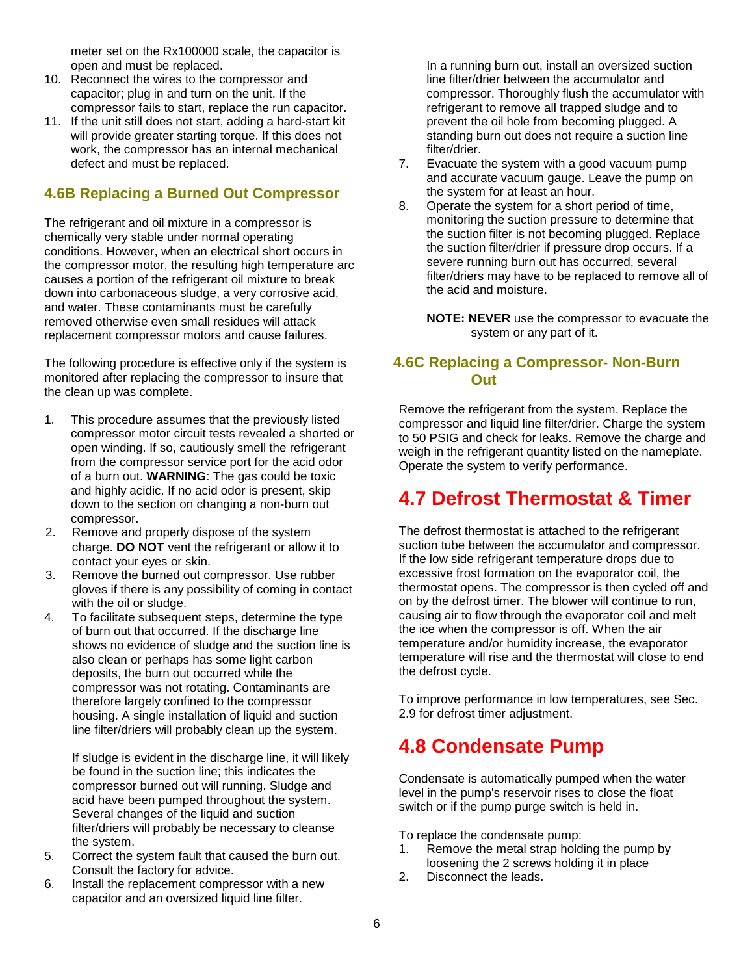meter set on the Rx100000 scale, the capacitor is open and must be replaced.

- 10. Reconnect the wires to the compressor and capacitor; plug in and turn on the unit. If the compressor fails to start, replace the run capacitor.
- 11. If the unit still does not start, adding a hard-start kit will provide greater starting torque. If this does not work, the compressor has an internal mechanical defect and must be replaced.

#### **4.6B Replacing a Burned Out Compressor**

The refrigerant and oil mixture in a compressor is chemically very stable under normal operating conditions. However, when an electrical short occurs in the compressor motor, the resulting high temperature arc causes a portion of the refrigerant oil mixture to break down into carbonaceous sludge, a very corrosive acid, and water. These contaminants must be carefully removed otherwise even small residues will attack replacement compressor motors and cause failures.

The following procedure is effective only if the system is monitored after replacing the compressor to insure that the clean up was complete.

- 1. This procedure assumes that the previously listed compressor motor circuit tests revealed a shorted or open winding. If so, cautiously smell the refrigerant from the compressor service port for the acid odor of a burn out. **WARNING**: The gas could be toxic and highly acidic. If no acid odor is present, skip down to the section on changing a non-burn out compressor.
- 2. Remove and properly dispose of the system charge. **DO NOT** vent the refrigerant or allow it to contact your eyes or skin.
- 3. Remove the burned out compressor. Use rubber gloves if there is any possibility of coming in contact with the oil or sludge.
- 4. To facilitate subsequent steps, determine the type of burn out that occurred. If the discharge line shows no evidence of sludge and the suction line is also clean or perhaps has some light carbon deposits, the burn out occurred while the compressor was not rotating. Contaminants are therefore largely confined to the compressor housing. A single installation of liquid and suction line filter/driers will probably clean up the system.

If sludge is evident in the discharge line, it will likely be found in the suction line; this indicates the compressor burned out will running. Sludge and acid have been pumped throughout the system. Several changes of the liquid and suction filter/driers will probably be necessary to cleanse the system.

- 5. Correct the system fault that caused the burn out. Consult the factory for advice.
- 6. Install the replacement compressor with a new capacitor and an oversized liquid line filter.

In a running burn out, install an oversized suction line filter/drier between the accumulator and compressor. Thoroughly flush the accumulator with refrigerant to remove all trapped sludge and to prevent the oil hole from becoming plugged. A standing burn out does not require a suction line filter/drier.

- 7. Evacuate the system with a good vacuum pump and accurate vacuum gauge. Leave the pump on the system for at least an hour.
- 8. Operate the system for a short period of time, monitoring the suction pressure to determine that the suction filter is not becoming plugged. Replace the suction filter/drier if pressure drop occurs. If a severe running burn out has occurred, several filter/driers may have to be replaced to remove all of the acid and moisture.

**NOTE: NEVER** use the compressor to evacuate the system or any part of it.

#### **4.6C Replacing a Compressor- Non-Burn Out**

Remove the refrigerant from the system. Replace the compressor and liquid line filter/drier. Charge the system to 50 PSIG and check for leaks. Remove the charge and weigh in the refrigerant quantity listed on the nameplate. Operate the system to verify performance.

### **4.7 Defrost Thermostat & Timer**

The defrost thermostat is attached to the refrigerant suction tube between the accumulator and compressor. If the low side refrigerant temperature drops due to excessive frost formation on the evaporator coil, the thermostat opens. The compressor is then cycled off and on by the defrost timer. The blower will continue to run, causing air to flow through the evaporator coil and melt the ice when the compressor is off. When the air temperature and/or humidity increase, the evaporator temperature will rise and the thermostat will close to end the defrost cycle.

To improve performance in low temperatures, see Sec. 2.9 for defrost timer adjustment.

### **4.8 Condensate Pump**

Condensate is automatically pumped when the water level in the pump's reservoir rises to close the float switch or if the pump purge switch is held in.

To replace the condensate pump:

- 1. Remove the metal strap holding the pump by loosening the 2 screws holding it in place
- 2. Disconnect the leads.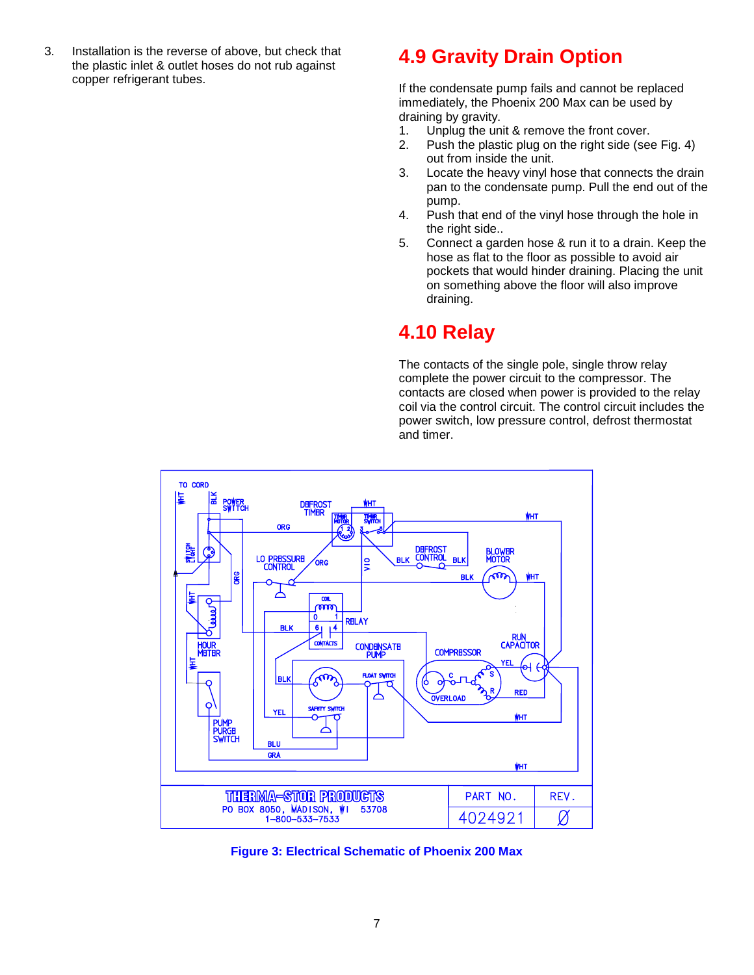3. Installation is the reverse of above, but check that the plastic inlet & outlet hoses do not rub against copper refrigerant tubes.

### **4.9 Gravity Drain Option**

If the condensate pump fails and cannot be replaced immediately, the Phoenix 200 Max can be used by draining by gravity.

- 1. Unplug the unit & remove the front cover.
- 2. Push the plastic plug on the right side (see Fig. 4) out from inside the unit.
- 3. Locate the heavy vinyl hose that connects the drain pan to the condensate pump. Pull the end out of the pump.
- 4. Push that end of the vinyl hose through the hole in the right side..
- 5. Connect a garden hose & run it to a drain. Keep the hose as flat to the floor as possible to avoid air pockets that would hinder draining. Placing the unit on something above the floor will also improve draining.

### **4.10 Relay**

The contacts of the single pole, single throw relay complete the power circuit to the compressor. The contacts are closed when power is provided to the relay coil via the control circuit. The control circuit includes the power switch, low pressure control, defrost thermostat and timer.



**Figure 3: Electrical Schematic of Phoenix 200 Max**